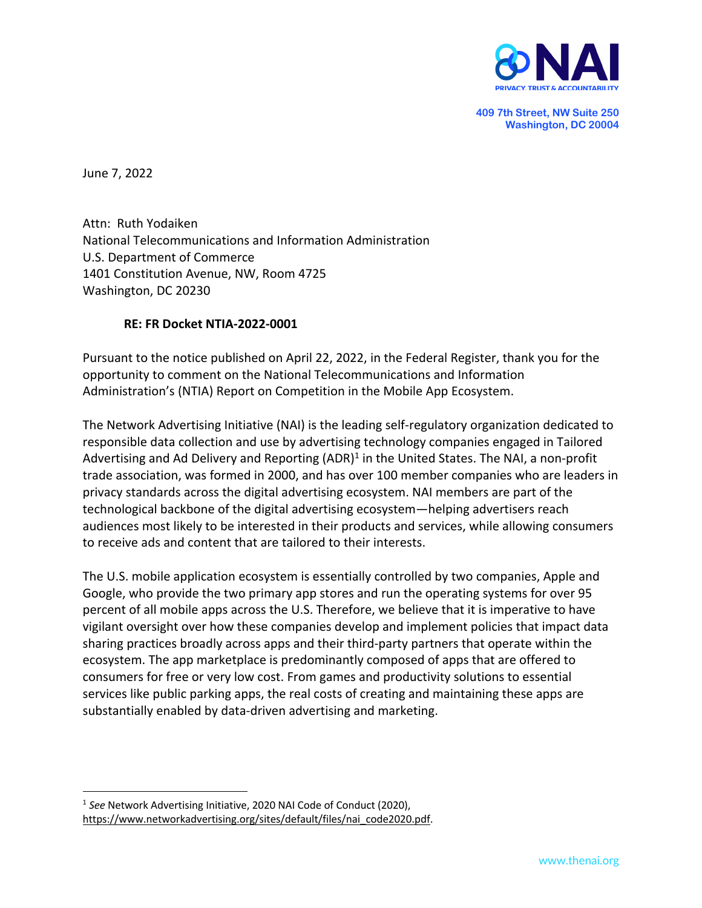

**409 7th Street, NW Suite 250 Washington, DC 20004**

June 7, 2022

Attn: Ruth Yodaiken National Telecommunications and Information Administration U.S. Department of Commerce 1401 Constitution Avenue, NW, Room 4725 Washington, DC 20230

## **RE: FR Docket NTIA-2022-0001**

Pursuant to the notice published on April 22, 2022, in the Federal Register, thank you for the opportunity to comment on the National Telecommunications and Information Administration's (NTIA) Report on Competition in the Mobile App Ecosystem.

The Network Advertising Initiative (NAI) is the leading self-regulatory organization dedicated to responsible data collection and use by advertising technology companies engaged in Tailored Advertising and Ad Delivery and Reporting  $(ADR)^1$  in the United States. The NAI, a non-profit trade association, was formed in 2000, and has over 100 member companies who are leaders in privacy standards across the digital advertising ecosystem. NAI members are part of the technological backbone of the digital advertising ecosystem—helping advertisers reach audiences most likely to be interested in their products and services, while allowing consumers to receive ads and content that are tailored to their interests.

The U.S. mobile application ecosystem is essentially controlled by two companies, Apple and Google, who provide the two primary app stores and run the operating systems for over 95 percent of all mobile apps across the U.S. Therefore, we believe that it is imperative to have vigilant oversight over how these companies develop and implement policies that impact data sharing practices broadly across apps and their third-party partners that operate within the ecosystem. The app marketplace is predominantly composed of apps that are offered to consumers for free or very low cost. From games and productivity solutions to essential services like public parking apps, the real costs of creating and maintaining these apps are substantially enabled by data-driven advertising and marketing.

<sup>1</sup> *See* Network Advertising Initiative, 2020 NAI Code of Conduct (2020), https://www.networkadvertising.org/sites/default/files/nai\_code2020.pdf.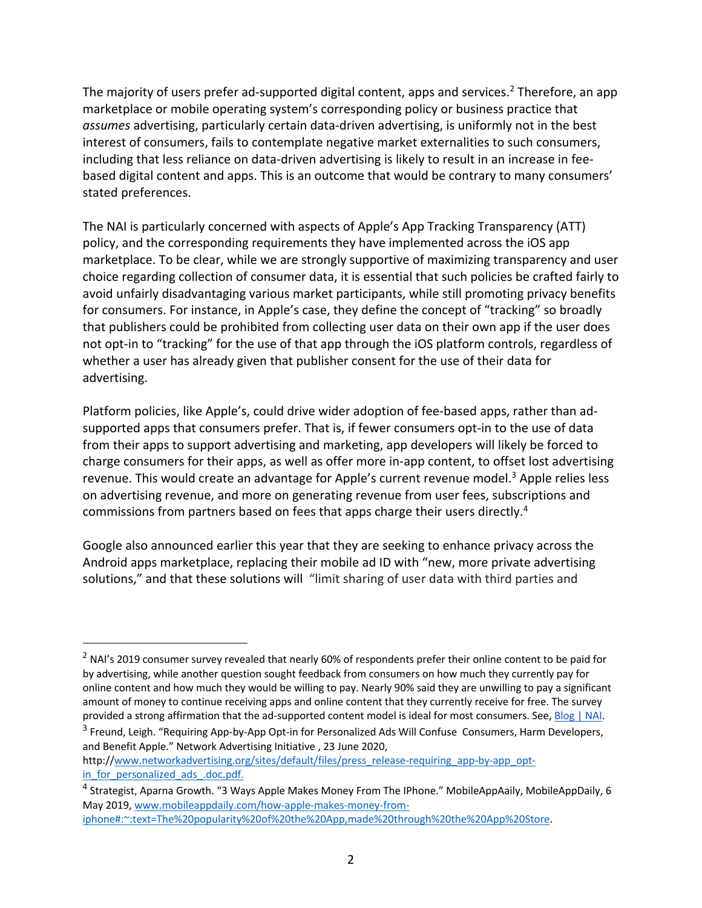The majority of users prefer ad-supported digital content, apps and services.<sup>2</sup> Therefore, an app marketplace or mobile operating system's corresponding policy or business practice that *assumes* advertising, particularly certain data-driven advertising, is uniformly not in the best interest of consumers, fails to contemplate negative market externalities to such consumers, including that less reliance on data-driven advertising is likely to result in an increase in feebased digital content and apps. This is an outcome that would be contrary to many consumers' stated preferences.

The NAI is particularly concerned with aspects of Apple's App Tracking Transparency (ATT) policy, and the corresponding requirements they have implemented across the iOS app marketplace. To be clear, while we are strongly supportive of maximizing transparency and user choice regarding collection of consumer data, it is essential that such policies be crafted fairly to avoid unfairly disadvantaging various market participants, while still promoting privacy benefits for consumers. For instance, in Apple's case, they define the concept of "tracking" so broadly that publishers could be prohibited from collecting user data on their own app if the user does not opt-in to "tracking" for the use of that app through the iOS platform controls, regardless of whether a user has already given that publisher consent for the use of their data for advertising.

Platform policies, like Apple's, could drive wider adoption of fee-based apps, rather than adsupported apps that consumers prefer. That is, if fewer consumers opt-in to the use of data from their apps to support advertising and marketing, app developers will likely be forced to charge consumers for their apps, as well as offer more in-app content, to offset lost advertising revenue. This would create an advantage for Apple's current revenue model.<sup>3</sup> Apple relies less on advertising revenue, and more on generating revenue from user fees, subscriptions and commissions from partners based on fees that apps charge their users directly.4

Google also announced earlier this year that they are seeking to enhance privacy across the Android apps marketplace, replacing their mobile ad ID with "new, more private advertising solutions," and that these solutions will "limit sharing of user data with third parties and

http://www.networkadvertising.org/sites/default/files/press\_release-requiring\_app-by-app\_optin for personalized ads .doc.pdf.

 $<sup>2</sup>$  NAI's 2019 consumer survey revealed that nearly 60% of respondents prefer their online content to be paid for</sup> by advertising, while another question sought feedback from consumers on how much they currently pay for online content and how much they would be willing to pay. Nearly 90% said they are unwilling to pay a significant amount of money to continue receiving apps and online content that they currently receive for free. The survey provided a strong affirmation that the ad-supported content model is ideal for most consumers. See, Blog | NAI.

<sup>&</sup>lt;sup>3</sup> Freund, Leigh. "Requiring App-by-App Opt-in for Personalized Ads Will Confuse Consumers, Harm Developers, and Benefit Apple." Network Advertising Initiative , 23 June 2020,

<sup>4</sup> Strategist, Aparna Growth. "3 Ways Apple Makes Money From The IPhone." MobileAppAaily, MobileAppDaily, 6 May 2019, www.mobileappdaily.com/how-apple-makes-money-fromiphone#:~:text=The%20popularity%20of%20the%20App,made%20through%20the%20App%20Store.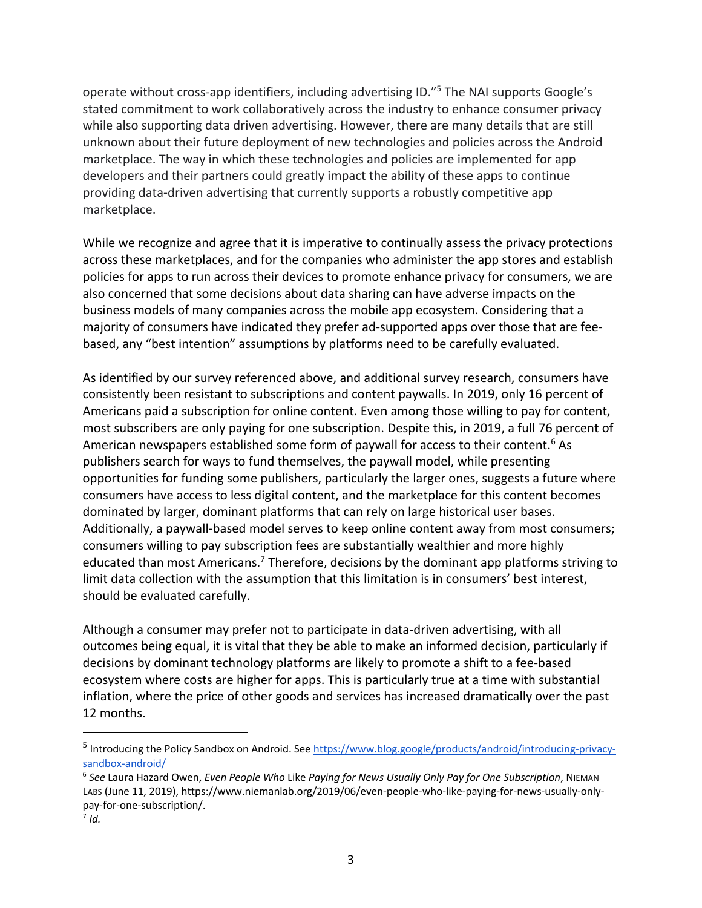operate without cross-app identifiers, including advertising ID."5 The NAI supports Google's stated commitment to work collaboratively across the industry to enhance consumer privacy while also supporting data driven advertising. However, there are many details that are still unknown about their future deployment of new technologies and policies across the Android marketplace. The way in which these technologies and policies are implemented for app developers and their partners could greatly impact the ability of these apps to continue providing data-driven advertising that currently supports a robustly competitive app marketplace.

While we recognize and agree that it is imperative to continually assess the privacy protections across these marketplaces, and for the companies who administer the app stores and establish policies for apps to run across their devices to promote enhance privacy for consumers, we are also concerned that some decisions about data sharing can have adverse impacts on the business models of many companies across the mobile app ecosystem. Considering that a majority of consumers have indicated they prefer ad-supported apps over those that are feebased, any "best intention" assumptions by platforms need to be carefully evaluated.

As identified by our survey referenced above, and additional survey research, consumers have consistently been resistant to subscriptions and content paywalls. In 2019, only 16 percent of Americans paid a subscription for online content. Even among those willing to pay for content, most subscribers are only paying for one subscription. Despite this, in 2019, a full 76 percent of American newspapers established some form of paywall for access to their content.<sup>6</sup> As publishers search for ways to fund themselves, the paywall model, while presenting opportunities for funding some publishers, particularly the larger ones, suggests a future where consumers have access to less digital content, and the marketplace for this content becomes dominated by larger, dominant platforms that can rely on large historical user bases. Additionally, a paywall-based model serves to keep online content away from most consumers; consumers willing to pay subscription fees are substantially wealthier and more highly educated than most Americans.<sup>7</sup> Therefore, decisions by the dominant app platforms striving to limit data collection with the assumption that this limitation is in consumers' best interest, should be evaluated carefully.

Although a consumer may prefer not to participate in data-driven advertising, with all outcomes being equal, it is vital that they be able to make an informed decision, particularly if decisions by dominant technology platforms are likely to promote a shift to a fee-based ecosystem where costs are higher for apps. This is particularly true at a time with substantial inflation, where the price of other goods and services has increased dramatically over the past 12 months.

<sup>5</sup> Introducing the Policy Sandbox on Android. See https://www.blog.google/products/android/introducing-privacysandbox-android/

<sup>6</sup> *See* Laura Hazard Owen, *Even People Who* Like *Paying for News Usually Only Pay for One Subscription*, NIEMAN LABS (June 11, 2019), https://www.niemanlab.org/2019/06/even-people-who-like-paying-for-news-usually-onlypay-for-one-subscription/.

 $<sup>7</sup>$  *Id.*</sup>